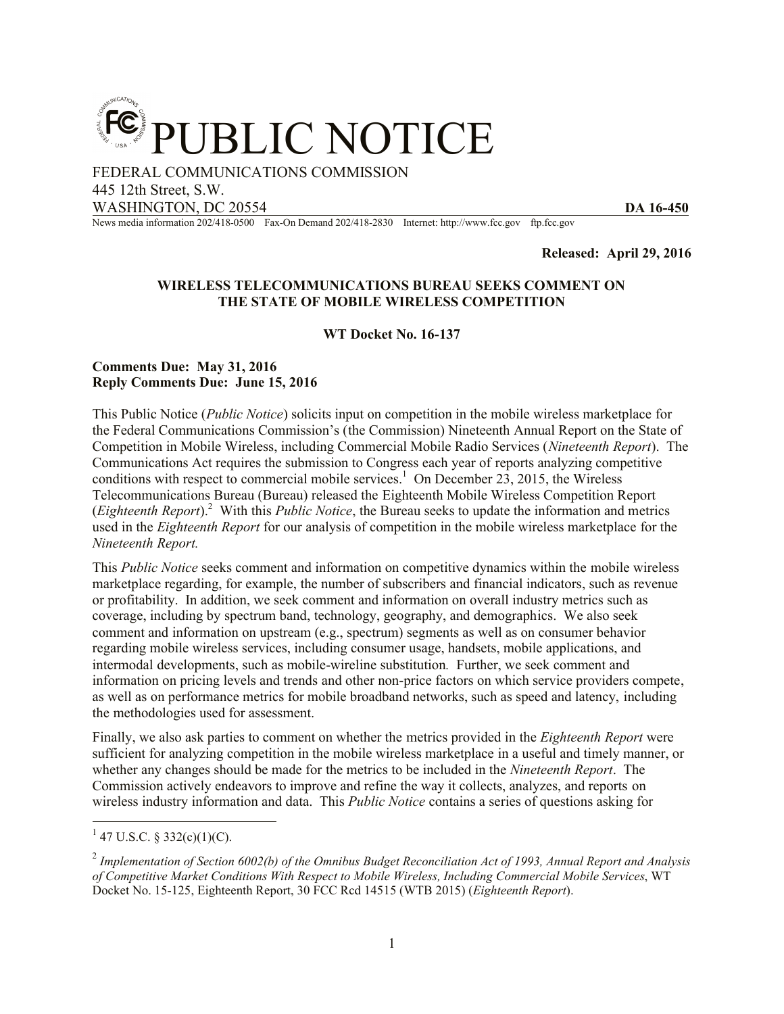

FEDERAL COMMUNICATIONS COMMISSION

445 12th Street, S.W.

WASHINGTON, DC 20554 **DA 16-450** 

News media information 202/418-0500 Fax-On Demand 202/418-2830 Internet: http://www.fcc.gov ftp.fcc.gov

**Released: April 29, 2016**

#### **WIRELESS TELECOMMUNICATIONS BUREAU SEEKS COMMENT ON THE STATE OF MOBILE WIRELESS COMPETITION**

**WT Docket No. 16-137**

#### **Comments Due: May 31, 2016 Reply Comments Due: June 15, 2016**

This Public Notice (*Public Notice*) solicits input on competition in the mobile wireless marketplace for the Federal Communications Commission's (the Commission) Nineteenth Annual Report on the State of Competition in Mobile Wireless, including Commercial Mobile Radio Services (*Nineteenth Report*). The Communications Act requires the submission to Congress each year of reports analyzing competitive conditions with respect to commercial mobile services.<sup>1</sup> On December 23, 2015, the Wireless Telecommunications Bureau (Bureau) released the Eighteenth Mobile Wireless Competition Report (*Eighteenth Report*).<sup>2</sup> With this *Public Notice*, the Bureau seeks to update the information and metrics used in the *Eighteenth Report* for our analysis of competition in the mobile wireless marketplace for the *Nineteenth Report.*

This *Public Notice* seeks comment and information on competitive dynamics within the mobile wireless marketplace regarding, for example, the number of subscribers and financial indicators, such as revenue or profitability. In addition, we seek comment and information on overall industry metrics such as coverage, including by spectrum band, technology, geography, and demographics. We also seek comment and information on upstream (e.g., spectrum) segments as well as on consumer behavior regarding mobile wireless services, including consumer usage, handsets, mobile applications, and intermodal developments, such as mobile-wireline substitution*.* Further, we seek comment and information on pricing levels and trends and other non-price factors on which service providers compete, as well as on performance metrics for mobile broadband networks, such as speed and latency, including the methodologies used for assessment.

Finally, we also ask parties to comment on whether the metrics provided in the *Eighteenth Report* were sufficient for analyzing competition in the mobile wireless marketplace in a useful and timely manner, or whether any changes should be made for the metrics to be included in the *Nineteenth Report*. The Commission actively endeavors to improve and refine the way it collects, analyzes, and reports on wireless industry information and data. This *Public Notice* contains a series of questions asking for

 $\overline{a}$ 

 $1$  47 U.S.C. § 332(c)(1)(C).

<sup>2</sup> *Implementation of Section 6002(b) of the Omnibus Budget Reconciliation Act of 1993, Annual Report and Analysis of Competitive Market Conditions With Respect to Mobile Wireless, Including Commercial Mobile Services*, WT Docket No. 15-125, Eighteenth Report, 30 FCC Rcd 14515 (WTB 2015) (*Eighteenth Report*).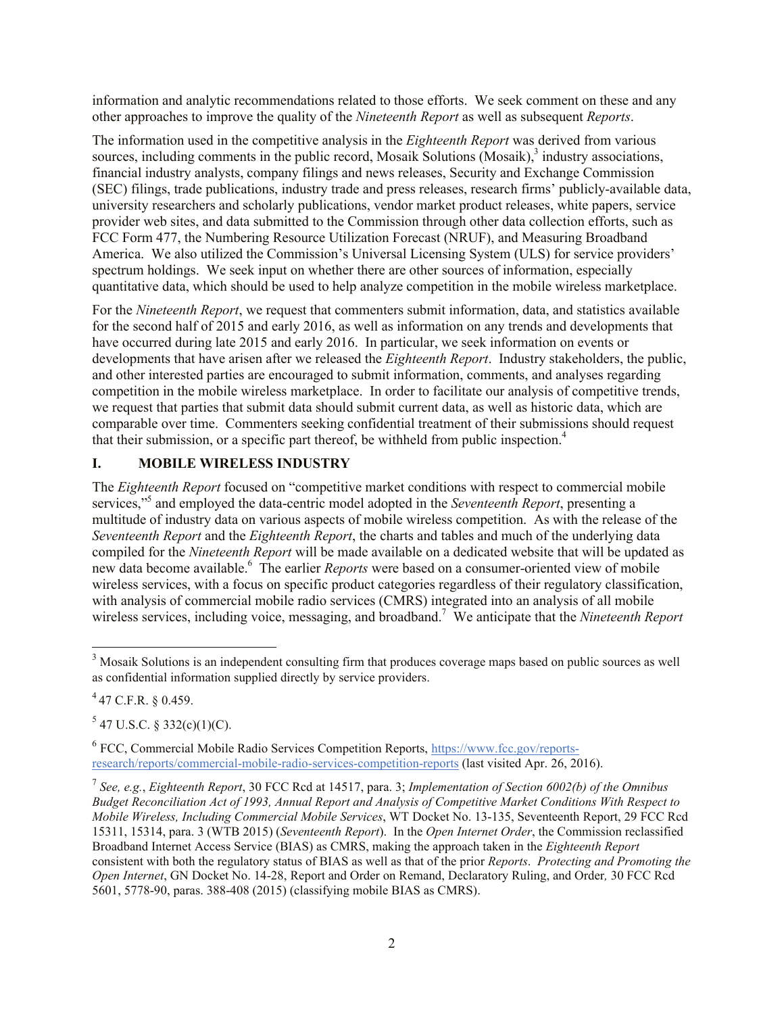information and analytic recommendations related to those efforts. We seek comment on these and any other approaches to improve the quality of the *Nineteenth Report* as well as subsequent *Reports*.

The information used in the competitive analysis in the *Eighteenth Report* was derived from various sources, including comments in the public record, Mosaik Solutions  $(Mosaik)<sup>3</sup>$  industry associations, financial industry analysts, company filings and news releases, Security and Exchange Commission (SEC) filings, trade publications, industry trade and press releases, research firms' publicly-available data, university researchers and scholarly publications, vendor market product releases, white papers, service provider web sites, and data submitted to the Commission through other data collection efforts, such as FCC Form 477, the Numbering Resource Utilization Forecast (NRUF), and Measuring Broadband America. We also utilized the Commission's Universal Licensing System (ULS) for service providers' spectrum holdings. We seek input on whether there are other sources of information, especially quantitative data, which should be used to help analyze competition in the mobile wireless marketplace.

For the *Nineteenth Report*, we request that commenters submit information, data, and statistics available for the second half of 2015 and early 2016, as well as information on any trends and developments that have occurred during late 2015 and early 2016. In particular, we seek information on events or developments that have arisen after we released the *Eighteenth Report*. Industry stakeholders, the public, and other interested parties are encouraged to submit information, comments, and analyses regarding competition in the mobile wireless marketplace. In order to facilitate our analysis of competitive trends, we request that parties that submit data should submit current data, as well as historic data, which are comparable over time. Commenters seeking confidential treatment of their submissions should request that their submission, or a specific part thereof, be withheld from public inspection.<sup>4</sup>

# **I. MOBILE WIRELESS INDUSTRY**

The *Eighteenth Report* focused on "competitive market conditions with respect to commercial mobile services,"<sup>5</sup> and employed the data-centric model adopted in the *Seventeenth Report*, presenting a multitude of industry data on various aspects of mobile wireless competition. As with the release of the *Seventeenth Report* and the *Eighteenth Report*, the charts and tables and much of the underlying data compiled for the *Nineteenth Report* will be made available on a dedicated website that will be updated as new data become available. 6 The earlier *Reports* were based on a consumer-oriented view of mobile wireless services, with a focus on specific product categories regardless of their regulatory classification, with analysis of commercial mobile radio services (CMRS) integrated into an analysis of all mobile wireless services, including voice, messaging, and broadband. <sup>7</sup> We anticipate that the *Nineteenth Report*

 $\overline{\phantom{a}}$ 

 $5$  47 U.S.C. § 332(c)(1)(C).

<sup>6</sup> FCC, Commercial Mobile Radio Services Competition Reports, https://www.fcc.gov/reportsresearch/reports/commercial-mobile-radio-services-competition-reports (last visited Apr. 26, 2016).

 $3$  Mosaik Solutions is an independent consulting firm that produces coverage maps based on public sources as well as confidential information supplied directly by service providers.

 $447$  C.F.R. § 0.459.

<sup>7</sup> *See, e.g.*, *Eighteenth Report*, 30 FCC Rcd at 14517, para. 3; *Implementation of Section 6002(b) of the Omnibus Budget Reconciliation Act of 1993, Annual Report and Analysis of Competitive Market Conditions With Respect to Mobile Wireless, Including Commercial Mobile Services*, WT Docket No. 13-135, Seventeenth Report, 29 FCC Rcd 15311, 15314, para. 3 (WTB 2015) (*Seventeenth Report*). In the *Open Internet Order*, the Commission reclassified Broadband Internet Access Service (BIAS) as CMRS, making the approach taken in the *Eighteenth Report* consistent with both the regulatory status of BIAS as well as that of the prior *Reports*. *Protecting and Promoting the Open Internet*, GN Docket No. 14-28, Report and Order on Remand, Declaratory Ruling, and Order*,* 30 FCC Rcd 5601, 5778-90, paras. 388-408 (2015) (classifying mobile BIAS as CMRS).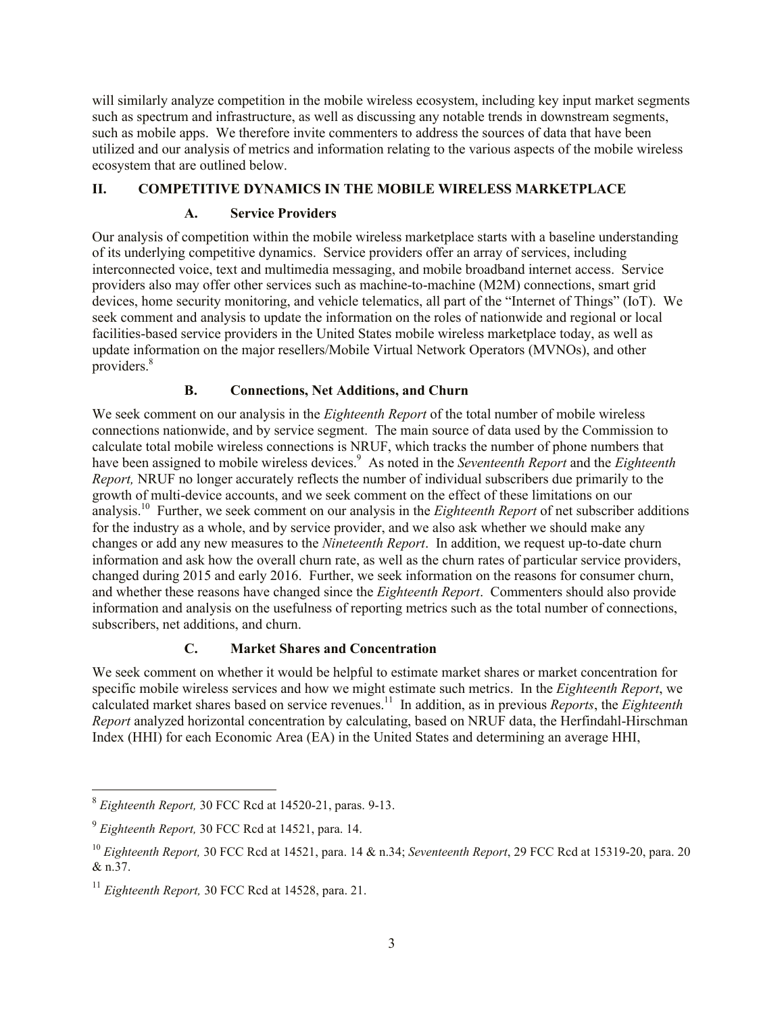will similarly analyze competition in the mobile wireless ecosystem, including key input market segments such as spectrum and infrastructure, as well as discussing any notable trends in downstream segments, such as mobile apps. We therefore invite commenters to address the sources of data that have been utilized and our analysis of metrics and information relating to the various aspects of the mobile wireless ecosystem that are outlined below.

## **II. COMPETITIVE DYNAMICS IN THE MOBILE WIRELESS MARKETPLACE**

## **A. Service Providers**

Our analysis of competition within the mobile wireless marketplace starts with a baseline understanding of its underlying competitive dynamics. Service providers offer an array of services, including interconnected voice, text and multimedia messaging, and mobile broadband internet access. Service providers also may offer other services such as machine-to-machine (M2M) connections, smart grid devices, home security monitoring, and vehicle telematics, all part of the "Internet of Things" (IoT). We seek comment and analysis to update the information on the roles of nationwide and regional or local facilities-based service providers in the United States mobile wireless marketplace today, as well as update information on the major resellers/Mobile Virtual Network Operators (MVNOs), and other providers. 8

## **B. Connections, Net Additions, and Churn**

We seek comment on our analysis in the *Eighteenth Report* of the total number of mobile wireless connections nationwide, and by service segment. The main source of data used by the Commission to calculate total mobile wireless connections is NRUF, which tracks the number of phone numbers that have been assigned to mobile wireless devices.<sup>9</sup> As noted in the *Seventeenth Report* and the *Eighteenth Report,* NRUF no longer accurately reflects the number of individual subscribers due primarily to the growth of multi-device accounts, and we seek comment on the effect of these limitations on our analysis. 10 Further, we seek comment on our analysis in the *Eighteenth Report* of net subscriber additions for the industry as a whole, and by service provider, and we also ask whether we should make any changes or add any new measures to the *Nineteenth Report*. In addition, we request up-to-date churn information and ask how the overall churn rate, as well as the churn rates of particular service providers, changed during 2015 and early 2016. Further, we seek information on the reasons for consumer churn, and whether these reasons have changed since the *Eighteenth Report*. Commenters should also provide information and analysis on the usefulness of reporting metrics such as the total number of connections, subscribers, net additions, and churn.

# **C. Market Shares and Concentration**

We seek comment on whether it would be helpful to estimate market shares or market concentration for specific mobile wireless services and how we might estimate such metrics. In the *Eighteenth Report*, we calculated market shares based on service revenues.<sup>11</sup> In addition, as in previous *Reports*, the *Eighteenth Report* analyzed horizontal concentration by calculating, based on NRUF data, the Herfindahl-Hirschman Index (HHI) for each Economic Area (EA) in the United States and determining an average HHI,

 8 *Eighteenth Report,* 30 FCC Rcd at 14520-21, paras. 9-13.

<sup>9</sup> *Eighteenth Report,* 30 FCC Rcd at 14521, para. 14.

<sup>10</sup> *Eighteenth Report,* 30 FCC Rcd at 14521, para. 14 & n.34; *Seventeenth Report*, 29 FCC Rcd at 15319-20, para. 20 & n.37.

<sup>11</sup> *Eighteenth Report,* 30 FCC Rcd at 14528, para. 21.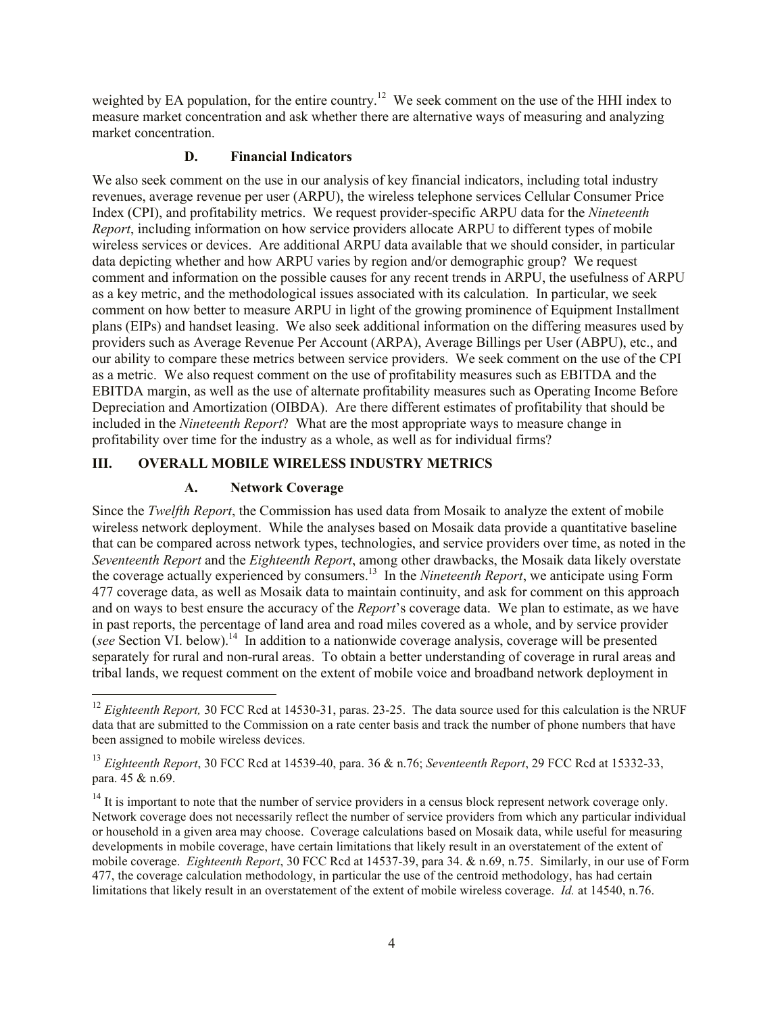weighted by EA population, for the entire country.<sup>12</sup> We seek comment on the use of the HHI index to measure market concentration and ask whether there are alternative ways of measuring and analyzing market concentration.

#### **D. Financial Indicators**

We also seek comment on the use in our analysis of key financial indicators, including total industry revenues, average revenue per user (ARPU), the wireless telephone services Cellular Consumer Price Index (CPI), and profitability metrics. We request provider-specific ARPU data for the *Nineteenth Report*, including information on how service providers allocate ARPU to different types of mobile wireless services or devices. Are additional ARPU data available that we should consider, in particular data depicting whether and how ARPU varies by region and/or demographic group? We request comment and information on the possible causes for any recent trends in ARPU, the usefulness of ARPU as a key metric, and the methodological issues associated with its calculation. In particular, we seek comment on how better to measure ARPU in light of the growing prominence of Equipment Installment plans (EIPs) and handset leasing. We also seek additional information on the differing measures used by providers such as Average Revenue Per Account (ARPA), Average Billings per User (ABPU), etc., and our ability to compare these metrics between service providers. We seek comment on the use of the CPI as a metric. We also request comment on the use of profitability measures such as EBITDA and the EBITDA margin, as well as the use of alternate profitability measures such as Operating Income Before Depreciation and Amortization (OIBDA). Are there different estimates of profitability that should be included in the *Nineteenth Report*? What are the most appropriate ways to measure change in profitability over time for the industry as a whole, as well as for individual firms?

## **III. OVERALL MOBILE WIRELESS INDUSTRY METRICS**

## **A. Network Coverage**

 $\overline{a}$ 

Since the *Twelfth Report*, the Commission has used data from Mosaik to analyze the extent of mobile wireless network deployment. While the analyses based on Mosaik data provide a quantitative baseline that can be compared across network types, technologies, and service providers over time, as noted in the *Seventeenth Report* and the *Eighteenth Report*, among other drawbacks, the Mosaik data likely overstate the coverage actually experienced by consumers.<sup>13</sup> In the *Nineteenth Report*, we anticipate using Form 477 coverage data, as well as Mosaik data to maintain continuity, and ask for comment on this approach and on ways to best ensure the accuracy of the *Report*'s coverage data. We plan to estimate, as we have in past reports, the percentage of land area and road miles covered as a whole, and by service provider (see Section VI. below).<sup>14</sup> In addition to a nationwide coverage analysis, coverage will be presented separately for rural and non-rural areas. To obtain a better understanding of coverage in rural areas and tribal lands, we request comment on the extent of mobile voice and broadband network deployment in

<sup>&</sup>lt;sup>12</sup> *Eighteenth Report,* 30 FCC Rcd at 14530-31, paras. 23-25. The data source used for this calculation is the NRUF data that are submitted to the Commission on a rate center basis and track the number of phone numbers that have been assigned to mobile wireless devices.

<sup>13</sup> *Eighteenth Report*, 30 FCC Rcd at 14539-40, para. 36 & n.76; *Seventeenth Report*, 29 FCC Rcd at 15332-33, para. 45 & n.69.

 $14$  It is important to note that the number of service providers in a census block represent network coverage only. Network coverage does not necessarily reflect the number of service providers from which any particular individual or household in a given area may choose. Coverage calculations based on Mosaik data, while useful for measuring developments in mobile coverage, have certain limitations that likely result in an overstatement of the extent of mobile coverage. *Eighteenth Report*, 30 FCC Rcd at 14537-39, para 34. & n.69, n.75. Similarly, in our use of Form 477, the coverage calculation methodology, in particular the use of the centroid methodology, has had certain limitations that likely result in an overstatement of the extent of mobile wireless coverage. *Id.* at 14540, n.76.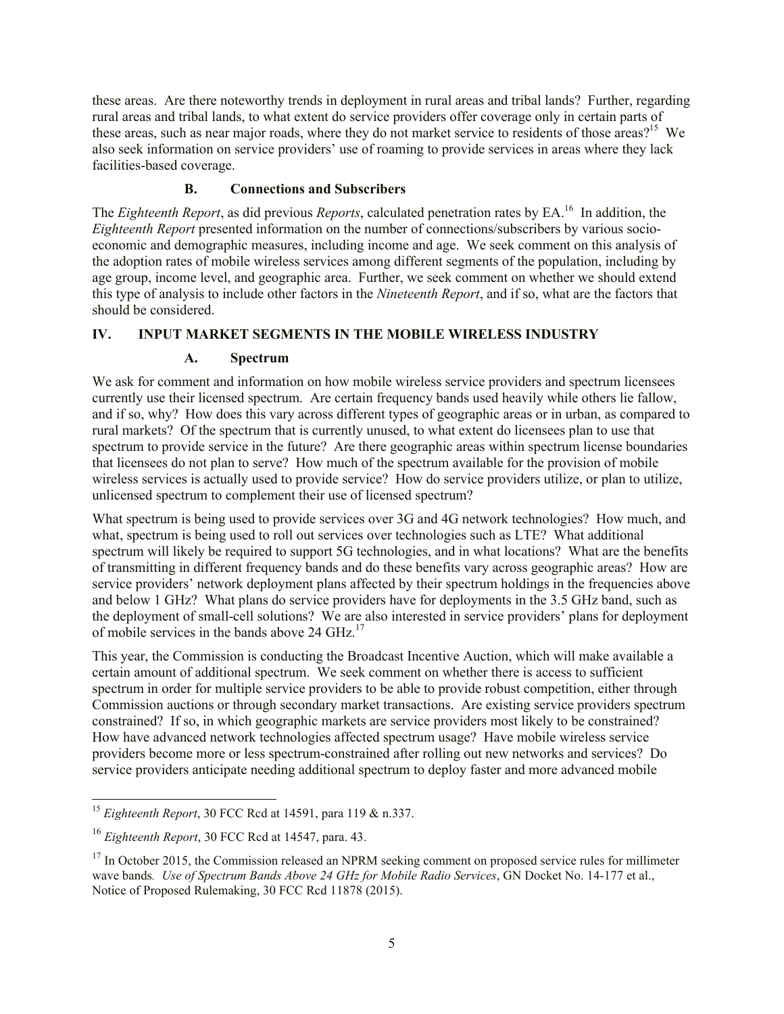these areas. Are there noteworthy trends in deployment in rural areas and tribal lands? Further, regarding rural areas and tribal lands, to what extent do service providers offer coverage only in certain parts of these areas, such as near major roads, where they do not market service to residents of those areas?<sup>15</sup> We also seek information on service providers' use of roaming to provide services in areas where they lack facilities-based coverage.

## **B. Connections and Subscribers**

The *Eighteenth Report*, as did previous *Reports*, calculated penetration rates by EA.<sup>16</sup> In addition, the *Eighteenth Report* presented information on the number of connections/subscribers by various socioeconomic and demographic measures, including income and age. We seek comment on this analysis of the adoption rates of mobile wireless services among different segments of the population, including by age group, income level, and geographic area. Further, we seek comment on whether we should extend this type of analysis to include other factors in the *Nineteenth Report*, and if so, what are the factors that should be considered.

## **IV. INPUT MARKET SEGMENTS IN THE MOBILE WIRELESS INDUSTRY**

## **A. Spectrum**

We ask for comment and information on how mobile wireless service providers and spectrum licensees currently use their licensed spectrum. Are certain frequency bands used heavily while others lie fallow, and if so, why? How does this vary across different types of geographic areas or in urban, as compared to rural markets? Of the spectrum that is currently unused, to what extent do licensees plan to use that spectrum to provide service in the future? Are there geographic areas within spectrum license boundaries that licensees do not plan to serve? How much of the spectrum available for the provision of mobile wireless services is actually used to provide service? How do service providers utilize, or plan to utilize, unlicensed spectrum to complement their use of licensed spectrum?

What spectrum is being used to provide services over 3G and 4G network technologies? How much, and what, spectrum is being used to roll out services over technologies such as LTE? What additional spectrum will likely be required to support 5G technologies, and in what locations? What are the benefits of transmitting in different frequency bands and do these benefits vary across geographic areas? How are service providers' network deployment plans affected by their spectrum holdings in the frequencies above and below 1 GHz? What plans do service providers have for deployments in the 3.5 GHz band, such as the deployment of small-cell solutions? We are also interested in service providers' plans for deployment of mobile services in the bands above 24 GHz.<sup>17</sup>

This year, the Commission is conducting the Broadcast Incentive Auction, which will make available a certain amount of additional spectrum. We seek comment on whether there is access to sufficient spectrum in order for multiple service providers to be able to provide robust competition, either through Commission auctions or through secondary market transactions. Are existing service providers spectrum constrained? If so, in which geographic markets are service providers most likely to be constrained? How have advanced network technologies affected spectrum usage? Have mobile wireless service providers become more or less spectrum-constrained after rolling out new networks and services? Do service providers anticipate needing additional spectrum to deploy faster and more advanced mobile

 $\overline{\phantom{a}}$ <sup>15</sup> *Eighteenth Report*, 30 FCC Rcd at 14591, para 119 & n.337.

<sup>16</sup> *Eighteenth Report*, 30 FCC Rcd at 14547, para. 43.

 $17$  In October 2015, the Commission released an NPRM seeking comment on proposed service rules for millimeter wave bands*. Use of Spectrum Bands Above 24 GHz for Mobile Radio Services*, GN Docket No. 14-177 et al., Notice of Proposed Rulemaking, 30 FCC Rcd 11878 (2015).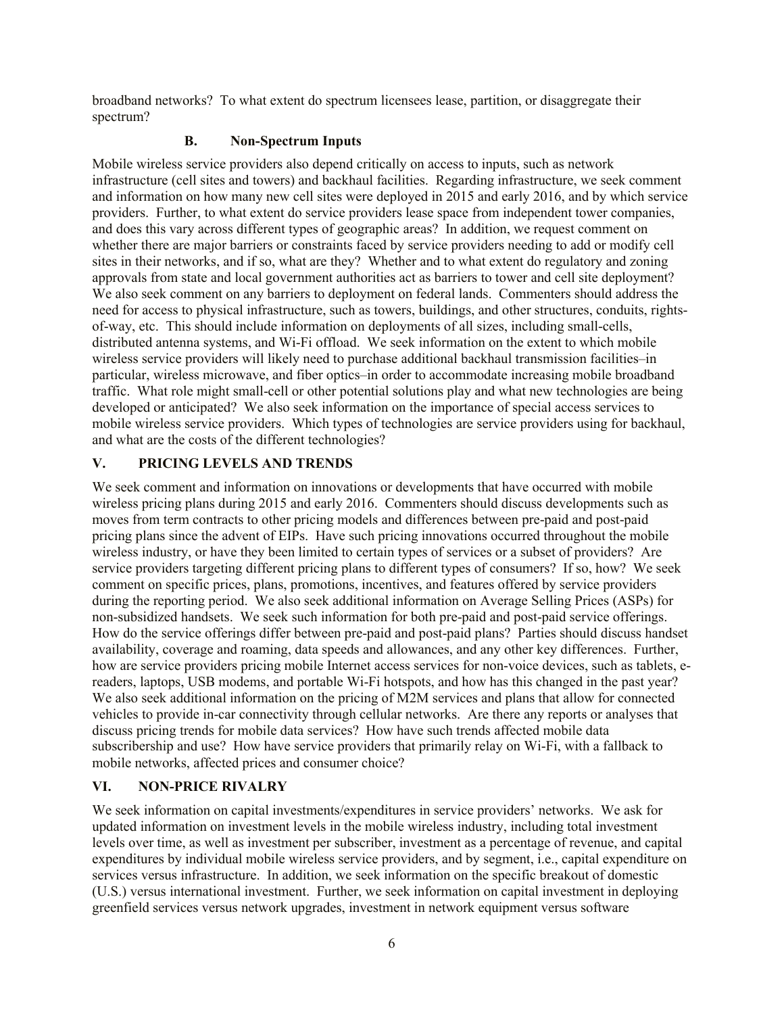broadband networks? To what extent do spectrum licensees lease, partition, or disaggregate their spectrum?

#### **B. Non-Spectrum Inputs**

Mobile wireless service providers also depend critically on access to inputs, such as network infrastructure (cell sites and towers) and backhaul facilities. Regarding infrastructure, we seek comment and information on how many new cell sites were deployed in 2015 and early 2016, and by which service providers. Further, to what extent do service providers lease space from independent tower companies, and does this vary across different types of geographic areas? In addition, we request comment on whether there are major barriers or constraints faced by service providers needing to add or modify cell sites in their networks, and if so, what are they? Whether and to what extent do regulatory and zoning approvals from state and local government authorities act as barriers to tower and cell site deployment? We also seek comment on any barriers to deployment on federal lands. Commenters should address the need for access to physical infrastructure, such as towers, buildings, and other structures, conduits, rightsof-way, etc. This should include information on deployments of all sizes, including small-cells, distributed antenna systems, and Wi-Fi offload. We seek information on the extent to which mobile wireless service providers will likely need to purchase additional backhaul transmission facilities–in particular, wireless microwave, and fiber optics–in order to accommodate increasing mobile broadband traffic. What role might small-cell or other potential solutions play and what new technologies are being developed or anticipated? We also seek information on the importance of special access services to mobile wireless service providers. Which types of technologies are service providers using for backhaul, and what are the costs of the different technologies?

## **V. PRICING LEVELS AND TRENDS**

We seek comment and information on innovations or developments that have occurred with mobile wireless pricing plans during 2015 and early 2016. Commenters should discuss developments such as moves from term contracts to other pricing models and differences between pre-paid and post-paid pricing plans since the advent of EIPs. Have such pricing innovations occurred throughout the mobile wireless industry, or have they been limited to certain types of services or a subset of providers? Are service providers targeting different pricing plans to different types of consumers? If so, how? We seek comment on specific prices, plans, promotions, incentives, and features offered by service providers during the reporting period. We also seek additional information on Average Selling Prices (ASPs) for non-subsidized handsets. We seek such information for both pre-paid and post-paid service offerings. How do the service offerings differ between pre-paid and post-paid plans? Parties should discuss handset availability, coverage and roaming, data speeds and allowances, and any other key differences. Further, how are service providers pricing mobile Internet access services for non-voice devices, such as tablets, ereaders, laptops, USB modems, and portable Wi-Fi hotspots, and how has this changed in the past year? We also seek additional information on the pricing of M2M services and plans that allow for connected vehicles to provide in-car connectivity through cellular networks. Are there any reports or analyses that discuss pricing trends for mobile data services? How have such trends affected mobile data subscribership and use? How have service providers that primarily relay on Wi-Fi, with a fallback to mobile networks, affected prices and consumer choice?

## **VI. NON-PRICE RIVALRY**

We seek information on capital investments/expenditures in service providers' networks. We ask for updated information on investment levels in the mobile wireless industry, including total investment levels over time, as well as investment per subscriber, investment as a percentage of revenue, and capital expenditures by individual mobile wireless service providers, and by segment, i.e., capital expenditure on services versus infrastructure. In addition, we seek information on the specific breakout of domestic (U.S.) versus international investment. Further, we seek information on capital investment in deploying greenfield services versus network upgrades, investment in network equipment versus software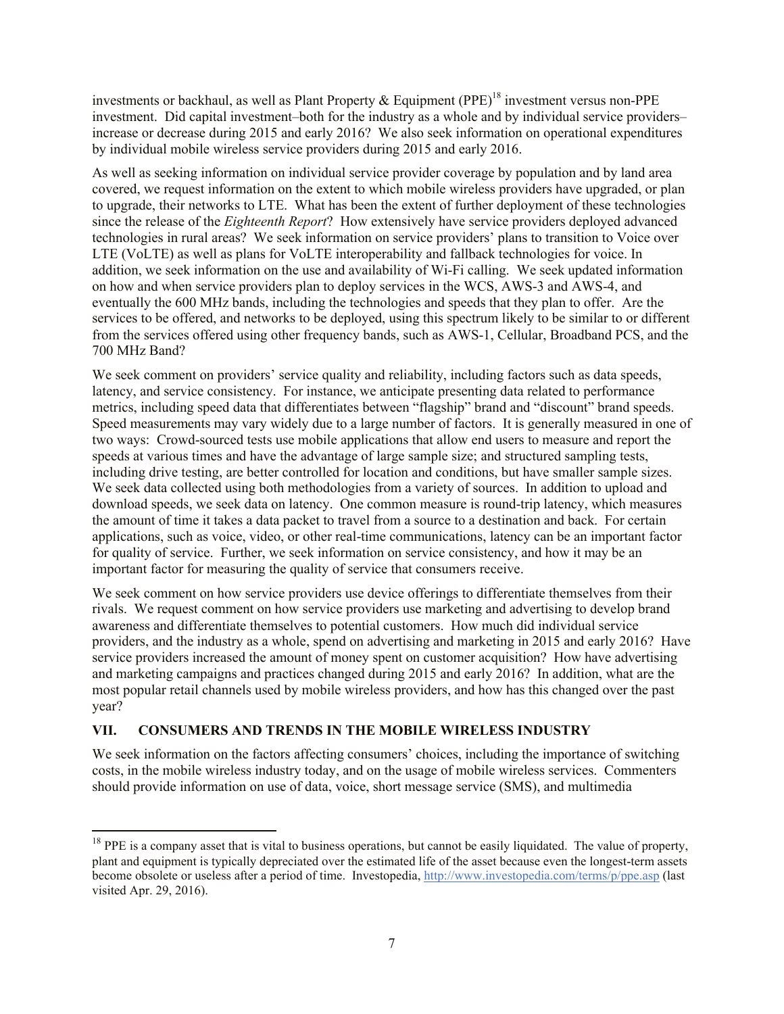investments or backhaul, as well as Plant Property & Equipment (PPE)<sup>18</sup> investment versus non-PPE investment. Did capital investment–both for the industry as a whole and by individual service providers– increase or decrease during 2015 and early 2016? We also seek information on operational expenditures by individual mobile wireless service providers during 2015 and early 2016.

As well as seeking information on individual service provider coverage by population and by land area covered, we request information on the extent to which mobile wireless providers have upgraded, or plan to upgrade, their networks to LTE. What has been the extent of further deployment of these technologies since the release of the *Eighteenth Report*? How extensively have service providers deployed advanced technologies in rural areas? We seek information on service providers' plans to transition to Voice over LTE (VoLTE) as well as plans for VoLTE interoperability and fallback technologies for voice. In addition, we seek information on the use and availability of Wi-Fi calling. We seek updated information on how and when service providers plan to deploy services in the WCS, AWS-3 and AWS-4, and eventually the 600 MHz bands, including the technologies and speeds that they plan to offer. Are the services to be offered, and networks to be deployed, using this spectrum likely to be similar to or different from the services offered using other frequency bands, such as AWS-1, Cellular, Broadband PCS, and the 700 MHz Band?

We seek comment on providers' service quality and reliability, including factors such as data speeds, latency, and service consistency. For instance, we anticipate presenting data related to performance metrics, including speed data that differentiates between "flagship" brand and "discount" brand speeds. Speed measurements may vary widely due to a large number of factors. It is generally measured in one of two ways: Crowd-sourced tests use mobile applications that allow end users to measure and report the speeds at various times and have the advantage of large sample size; and structured sampling tests, including drive testing, are better controlled for location and conditions, but have smaller sample sizes. We seek data collected using both methodologies from a variety of sources. In addition to upload and download speeds, we seek data on latency. One common measure is round-trip latency, which measures the amount of time it takes a data packet to travel from a source to a destination and back. For certain applications, such as voice, video, or other real-time communications, latency can be an important factor for quality of service. Further, we seek information on service consistency, and how it may be an important factor for measuring the quality of service that consumers receive.

We seek comment on how service providers use device offerings to differentiate themselves from their rivals. We request comment on how service providers use marketing and advertising to develop brand awareness and differentiate themselves to potential customers. How much did individual service providers, and the industry as a whole, spend on advertising and marketing in 2015 and early 2016? Have service providers increased the amount of money spent on customer acquisition? How have advertising and marketing campaigns and practices changed during 2015 and early 2016? In addition, what are the most popular retail channels used by mobile wireless providers, and how has this changed over the past year?

## **VII. CONSUMERS AND TRENDS IN THE MOBILE WIRELESS INDUSTRY**

 $\overline{a}$ 

We seek information on the factors affecting consumers' choices, including the importance of switching costs, in the mobile wireless industry today, and on the usage of mobile wireless services. Commenters should provide information on use of data, voice, short message service (SMS), and multimedia

 $18$  PPE is a company asset that is vital to business operations, but cannot be easily liquidated. The value of property, plant and equipment is typically depreciated over the estimated life of the asset because even the longest-term assets become obsolete or useless after a period of time. Investopedia, http://www.investopedia.com/terms/p/ppe.asp (last visited Apr. 29, 2016).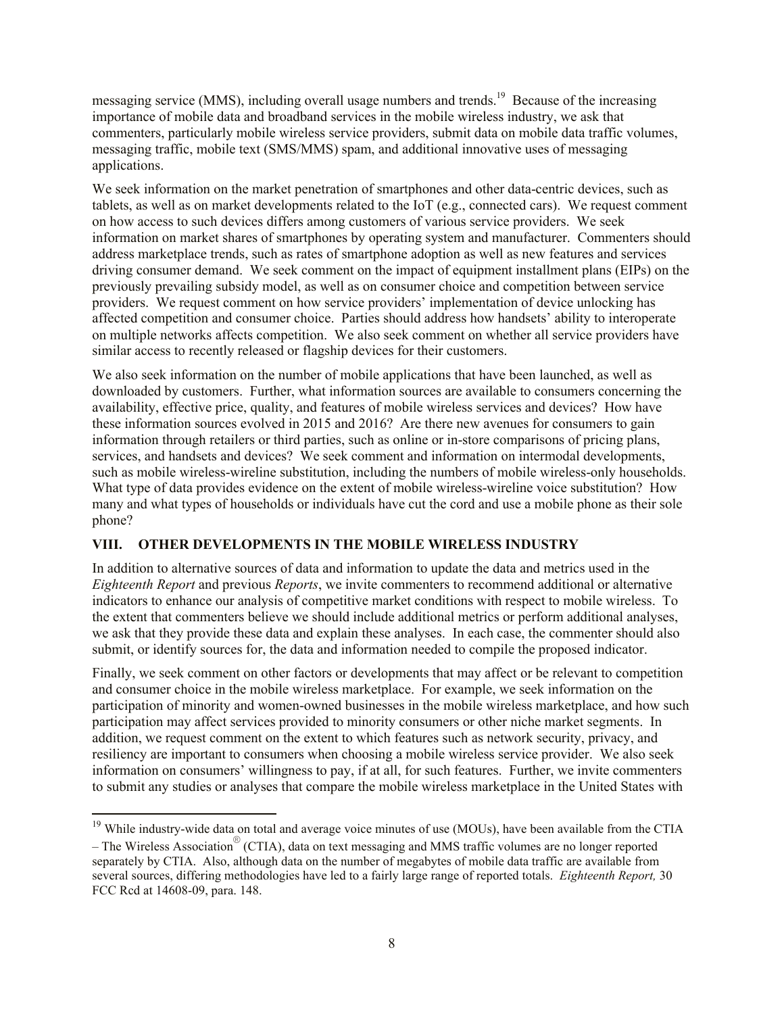messaging service (MMS), including overall usage numbers and trends.<sup>19</sup> Because of the increasing importance of mobile data and broadband services in the mobile wireless industry, we ask that commenters, particularly mobile wireless service providers, submit data on mobile data traffic volumes, messaging traffic, mobile text (SMS/MMS) spam, and additional innovative uses of messaging applications.

We seek information on the market penetration of smartphones and other data-centric devices, such as tablets, as well as on market developments related to the IoT (e.g., connected cars). We request comment on how access to such devices differs among customers of various service providers. We seek information on market shares of smartphones by operating system and manufacturer. Commenters should address marketplace trends, such as rates of smartphone adoption as well as new features and services driving consumer demand. We seek comment on the impact of equipment installment plans (EIPs) on the previously prevailing subsidy model, as well as on consumer choice and competition between service providers. We request comment on how service providers' implementation of device unlocking has affected competition and consumer choice. Parties should address how handsets' ability to interoperate on multiple networks affects competition. We also seek comment on whether all service providers have similar access to recently released or flagship devices for their customers.

We also seek information on the number of mobile applications that have been launched, as well as downloaded by customers. Further, what information sources are available to consumers concerning the availability, effective price, quality, and features of mobile wireless services and devices? How have these information sources evolved in 2015 and 2016? Are there new avenues for consumers to gain information through retailers or third parties, such as online or in-store comparisons of pricing plans, services, and handsets and devices? We seek comment and information on intermodal developments, such as mobile wireless-wireline substitution, including the numbers of mobile wireless-only households. What type of data provides evidence on the extent of mobile wireless-wireline voice substitution? How many and what types of households or individuals have cut the cord and use a mobile phone as their sole phone?

## **VIII. OTHER DEVELOPMENTS IN THE MOBILE WIRELESS INDUSTRY**

 $\overline{a}$ 

In addition to alternative sources of data and information to update the data and metrics used in the *Eighteenth Report* and previous *Reports*, we invite commenters to recommend additional or alternative indicators to enhance our analysis of competitive market conditions with respect to mobile wireless. To the extent that commenters believe we should include additional metrics or perform additional analyses, we ask that they provide these data and explain these analyses. In each case, the commenter should also submit, or identify sources for, the data and information needed to compile the proposed indicator.

Finally, we seek comment on other factors or developments that may affect or be relevant to competition and consumer choice in the mobile wireless marketplace. For example, we seek information on the participation of minority and women-owned businesses in the mobile wireless marketplace, and how such participation may affect services provided to minority consumers or other niche market segments. In addition, we request comment on the extent to which features such as network security, privacy, and resiliency are important to consumers when choosing a mobile wireless service provider. We also seek information on consumers' willingness to pay, if at all, for such features. Further, we invite commenters to submit any studies or analyses that compare the mobile wireless marketplace in the United States with

<sup>&</sup>lt;sup>19</sup> While industry-wide data on total and average voice minutes of use (MOUs), have been available from the CTIA – The Wireless Association<sup>®</sup> (CTIA), data on text messaging and MMS traffic volumes are no longer reported separately by CTIA. Also, although data on the number of megabytes of mobile data traffic are available from several sources, differing methodologies have led to a fairly large range of reported totals. *Eighteenth Report,* 30 FCC Rcd at 14608-09, para. 148.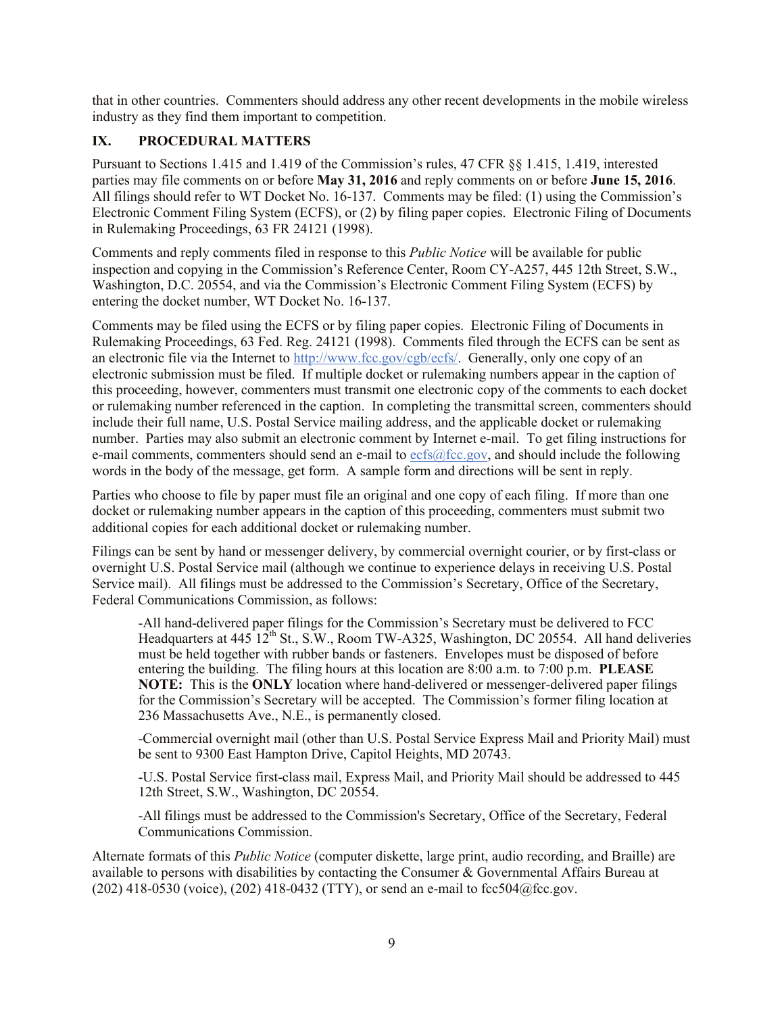that in other countries. Commenters should address any other recent developments in the mobile wireless industry as they find them important to competition.

# **IX. PROCEDURAL MATTERS**

Pursuant to Sections 1.415 and 1.419 of the Commission's rules, 47 CFR §§ 1.415, 1.419, interested parties may file comments on or before **May 31, 2016** and reply comments on or before **June 15, 2016**. All filings should refer to WT Docket No. 16-137. Comments may be filed: (1) using the Commission's Electronic Comment Filing System (ECFS), or (2) by filing paper copies. Electronic Filing of Documents in Rulemaking Proceedings, 63 FR 24121 (1998).

Comments and reply comments filed in response to this *Public Notice* will be available for public inspection and copying in the Commission's Reference Center, Room CY-A257, 445 12th Street, S.W., Washington, D.C. 20554, and via the Commission's Electronic Comment Filing System (ECFS) by entering the docket number, WT Docket No. 16-137.

Comments may be filed using the ECFS or by filing paper copies. Electronic Filing of Documents in Rulemaking Proceedings, 63 Fed. Reg. 24121 (1998). Comments filed through the ECFS can be sent as an electronic file via the Internet to http://www.fcc.gov/cgb/ecfs/. Generally, only one copy of an electronic submission must be filed. If multiple docket or rulemaking numbers appear in the caption of this proceeding, however, commenters must transmit one electronic copy of the comments to each docket or rulemaking number referenced in the caption. In completing the transmittal screen, commenters should include their full name, U.S. Postal Service mailing address, and the applicable docket or rulemaking number. Parties may also submit an electronic comment by Internet e-mail. To get filing instructions for e-mail comments, commenters should send an e-mail to ecfs@fcc.gov, and should include the following words in the body of the message, get form. A sample form and directions will be sent in reply.

Parties who choose to file by paper must file an original and one copy of each filing. If more than one docket or rulemaking number appears in the caption of this proceeding, commenters must submit two additional copies for each additional docket or rulemaking number.

Filings can be sent by hand or messenger delivery, by commercial overnight courier, or by first-class or overnight U.S. Postal Service mail (although we continue to experience delays in receiving U.S. Postal Service mail). All filings must be addressed to the Commission's Secretary, Office of the Secretary, Federal Communications Commission, as follows:

-All hand-delivered paper filings for the Commission's Secretary must be delivered to FCC Headquarters at  $445 \, 12^{th}$  St., S.W., Room TW-A325, Washington, DC 20554. All hand deliveries must be held together with rubber bands or fasteners. Envelopes must be disposed of before entering the building. The filing hours at this location are 8:00 a.m. to 7:00 p.m. **PLEASE NOTE:** This is the **ONLY** location where hand-delivered or messenger-delivered paper filings for the Commission's Secretary will be accepted. The Commission's former filing location at 236 Massachusetts Ave., N.E., is permanently closed.

-Commercial overnight mail (other than U.S. Postal Service Express Mail and Priority Mail) must be sent to 9300 East Hampton Drive, Capitol Heights, MD 20743.

-U.S. Postal Service first-class mail, Express Mail, and Priority Mail should be addressed to 445 12th Street, S.W., Washington, DC 20554.

-All filings must be addressed to the Commission's Secretary, Office of the Secretary, Federal Communications Commission.

Alternate formats of this *Public Notice* (computer diskette, large print, audio recording, and Braille) are available to persons with disabilities by contacting the Consumer & Governmental Affairs Bureau at (202) 418-0530 (voice), (202) 418-0432 (TTY), or send an e-mail to fcc504@fcc.gov.